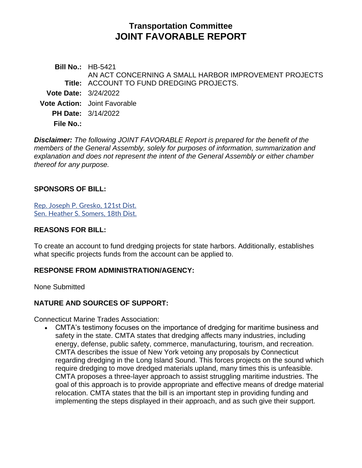# **Transportation Committee JOINT FAVORABLE REPORT**

**Bill No.:** HB-5421 **Title:** ACCOUNT TO FUND DREDGING PROJECTS. AN ACT CONCERNING A SMALL HARBOR IMPROVEMENT PROJECTS **Vote Date:** 3/24/2022 **Vote Action:** Joint Favorable **PH Date:** 3/14/2022 **File No.:**

*Disclaimer: The following JOINT FAVORABLE Report is prepared for the benefit of the members of the General Assembly, solely for purposes of information, summarization and explanation and does not represent the intent of the General Assembly or either chamber thereof for any purpose.*

#### **SPONSORS OF BILL:**

[Rep. Joseph P. Gresko, 121st Dist.](https://www.cga.ct.gov/asp/CGABillStatus/CGAMemberBills.asp?dist_code=%27121%27) [Sen. Heather S. Somers, 18th Dist.](https://www.cga.ct.gov/asp/CGABillStatus/CGAMemberBills.asp?dist_code=%27S18%27)

#### **REASONS FOR BILL:**

To create an account to fund dredging projects for state harbors. Additionally, establishes what specific projects funds from the account can be applied to.

### **RESPONSE FROM ADMINISTRATION/AGENCY:**

None Submitted

### **NATURE AND SOURCES OF SUPPORT:**

Connecticut Marine Trades Association:

• CMTA's testimony focuses on the importance of dredging for maritime business and safety in the state. CMTA states that dredging affects many industries, including energy, defense, public safety, commerce, manufacturing, tourism, and recreation. CMTA describes the issue of New York vetoing any proposals by Connecticut regarding dredging in the Long Island Sound. This forces projects on the sound which require dredging to move dredged materials upland, many times this is unfeasible. CMTA proposes a three-layer approach to assist struggling maritime industries. The goal of this approach is to provide appropriate and effective means of dredge material relocation. CMTA states that the bill is an important step in providing funding and implementing the steps displayed in their approach, and as such give their support.